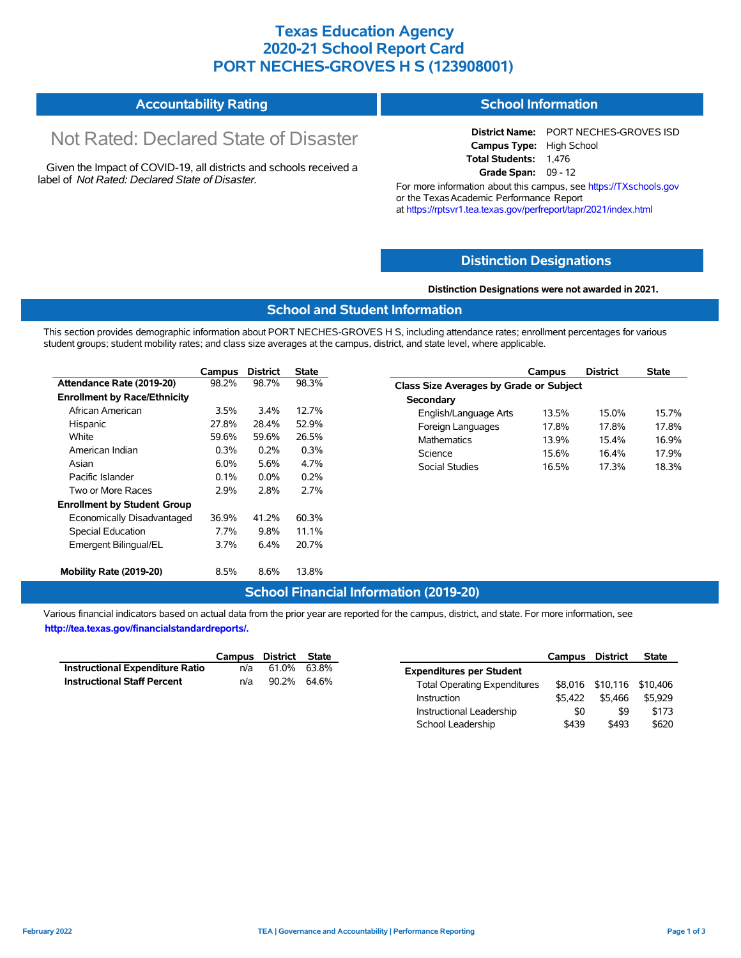## **Texas Education Agency 2020-21 School Report Card PORT NECHES-GROVES H S (123908001)**

#### **Accountability Rating School Information**

# Not Rated: Declared State of Disaster

Given the Impact of COVID-19, all districts and schools received a label of *Not Rated: Declared State of Disaster.*

**District Name:** PORT NECHES-GROVES ISD **Campus Type:** High School **Total Students:** 1,476 **Grade Span:** 09 - 12

For more information about this campus, see https://TXschools.gov or the TexasAcademic Performance Report at https://rptsvr1.tea.texas.gov/perfreport/tapr/2021/index.html

#### **Distinction Designations**

#### **Distinction Designations were not awarded in 2021.**

#### **School and Student Information**

This section provides demographic information about PORT NECHES-GROVES H S, including attendance rates; enrollment percentages for various student groups; student mobility rates; and class size averages at the campus, district, and state level, where applicable.

|                                     | Campus  | <b>District</b> | State |
|-------------------------------------|---------|-----------------|-------|
| Attendance Rate (2019-20)           | 98.2%   | 98.7%           | 98.3% |
| <b>Enrollment by Race/Ethnicity</b> |         |                 |       |
| African American                    | 3.5%    | 3.4%            | 12.7% |
| Hispanic                            | 27.8%   | 28.4%           | 52.9% |
| White                               | 59.6%   | 59.6%           | 26.5% |
| American Indian                     | $0.3\%$ | 0.2%            | 0.3%  |
| Asian                               | $6.0\%$ | 5.6%            | 4.7%  |
| Pacific Islander                    | $0.1\%$ | $0.0\%$         | 0.2%  |
| Two or More Races                   | 2.9%    | 2.8%            | 2.7%  |
| <b>Enrollment by Student Group</b>  |         |                 |       |
| Economically Disadvantaged          | 36.9%   | 41.2%           | 60.3% |
| <b>Special Education</b>            | 7.7%    | 9.8%            | 11.1% |
| Emergent Bilingual/EL               | 3.7%    | 6.4%            | 20.7% |
| Mobility Rate (2019-20)             | 8.5%    | 8.6%            | 13.8% |

|                                                | Campus | <b>District</b> | <b>State</b> |  |  |  |  |  |  |
|------------------------------------------------|--------|-----------------|--------------|--|--|--|--|--|--|
| <b>Class Size Averages by Grade or Subject</b> |        |                 |              |  |  |  |  |  |  |
| Secondary                                      |        |                 |              |  |  |  |  |  |  |
| English/Language Arts                          | 13.5%  | 15.0%           | 15.7%        |  |  |  |  |  |  |
| Foreign Languages                              | 17.8%  | 17.8%           | 17.8%        |  |  |  |  |  |  |
| Mathematics                                    | 13.9%  | 154%            | 16.9%        |  |  |  |  |  |  |
| Science                                        | 15.6%  | 16.4%           | 17 9%        |  |  |  |  |  |  |
| Social Studies                                 | 16.5%  | 17.3%           | 18.3%        |  |  |  |  |  |  |

#### **School Financial Information (2019-20)**

Various financial indicators based on actual data from the prior year are reported for the campus, district, and state. For more information, see **http://tea.texas.gov/financialstandardreports/.**

|                                        | Campus District State |             |  |
|----------------------------------------|-----------------------|-------------|--|
| <b>Instructional Expenditure Ratio</b> | n/a                   | 61.0% 63.8% |  |
| <b>Instructional Staff Percent</b>     | n/a                   | 90.2% 64.6% |  |

|                                     | Campus District |                           | <b>State</b> |
|-------------------------------------|-----------------|---------------------------|--------------|
| <b>Expenditures per Student</b>     |                 |                           |              |
| <b>Total Operating Expenditures</b> |                 | \$8,016 \$10,116 \$10,406 |              |
| Instruction                         | \$5.422         | \$5.466                   | \$5.929      |
| Instructional Leadership            | \$0             | \$9                       | \$173        |
| School Leadership                   | \$439           | \$493                     | \$620        |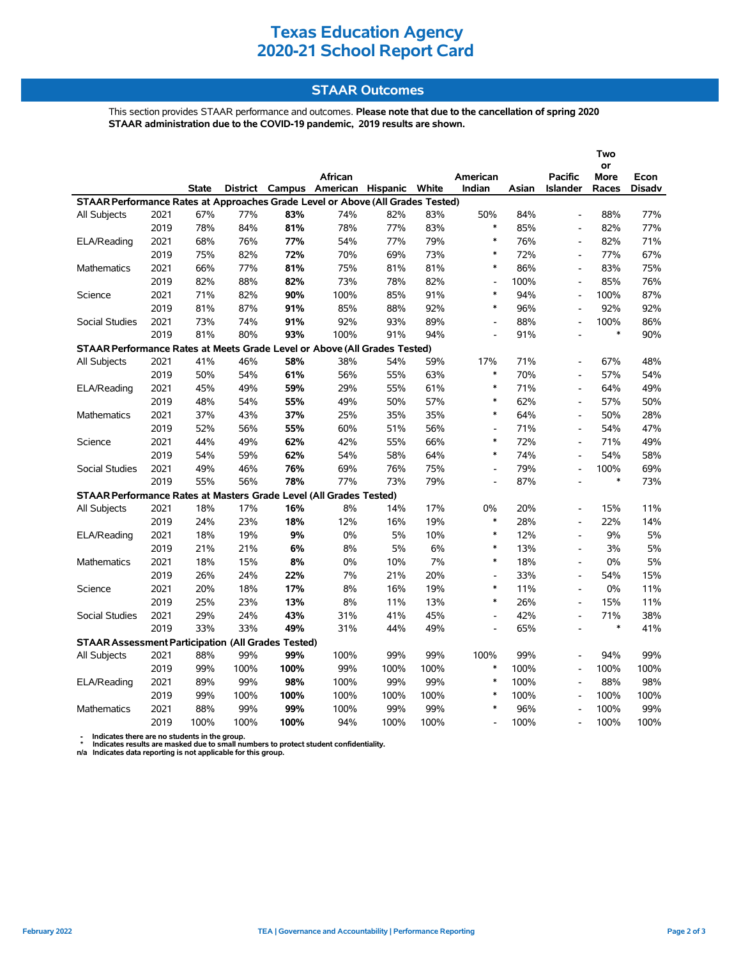# **Texas Education Agency 2020-21 School Report Card**

### **STAAR Outcomes**

This section provides STAAR performance and outcomes. **Please note that due to the cancellation of spring 2020 STAAR administration due to the COVID-19 pandemic, 2019 results are shown.**

|                                                                                |      |              |      |      |                                         |      |      |                          |       |                          | Two               |               |
|--------------------------------------------------------------------------------|------|--------------|------|------|-----------------------------------------|------|------|--------------------------|-------|--------------------------|-------------------|---------------|
|                                                                                |      |              |      |      | African                                 |      |      | American                 |       | <b>Pacific</b>           | or<br><b>More</b> | Econ          |
|                                                                                |      | <b>State</b> |      |      | District Campus American Hispanic White |      |      | Indian                   | Asian | <b>Islander</b>          | Races             | <b>Disadv</b> |
| STAAR Performance Rates at Approaches Grade Level or Above (All Grades Tested) |      |              |      |      |                                         |      |      |                          |       |                          |                   |               |
| All Subjects                                                                   | 2021 | 67%          | 77%  | 83%  | 74%                                     | 82%  | 83%  | 50%                      | 84%   | $\overline{a}$           | 88%               | 77%           |
|                                                                                | 2019 | 78%          | 84%  | 81%  | 78%                                     | 77%  | 83%  | $\ast$                   | 85%   | $\overline{a}$           | 82%               | 77%           |
| ELA/Reading                                                                    | 2021 | 68%          | 76%  | 77%  | 54%                                     | 77%  | 79%  | $\ast$                   | 76%   | $\overline{\phantom{a}}$ | 82%               | 71%           |
|                                                                                | 2019 | 75%          | 82%  | 72%  | 70%                                     | 69%  | 73%  | $\ast$                   | 72%   | $\overline{a}$           | 77%               | 67%           |
| Mathematics                                                                    | 2021 | 66%          | 77%  | 81%  | 75%                                     | 81%  | 81%  | $\ast$                   | 86%   | $\overline{\phantom{a}}$ | 83%               | 75%           |
|                                                                                | 2019 | 82%          | 88%  | 82%  | 73%                                     | 78%  | 82%  | $\overline{\phantom{a}}$ | 100%  | $\overline{\phantom{a}}$ | 85%               | 76%           |
| Science                                                                        | 2021 | 71%          | 82%  | 90%  | 100%                                    | 85%  | 91%  | $\ast$                   | 94%   | $\overline{a}$           | 100%              | 87%           |
|                                                                                | 2019 | 81%          | 87%  | 91%  | 85%                                     | 88%  | 92%  | $\ast$                   | 96%   | $\overline{a}$           | 92%               | 92%           |
| <b>Social Studies</b>                                                          | 2021 | 73%          | 74%  | 91%  | 92%                                     | 93%  | 89%  | $\overline{\phantom{a}}$ | 88%   | $\overline{\phantom{a}}$ | 100%              | 86%           |
|                                                                                | 2019 | 81%          | 80%  | 93%  | 100%                                    | 91%  | 94%  | $\overline{a}$           | 91%   | $\overline{a}$           | $\ast$            | 90%           |
| STAAR Performance Rates at Meets Grade Level or Above (All Grades Tested)      |      |              |      |      |                                         |      |      |                          |       |                          |                   |               |
| All Subjects                                                                   | 2021 | 41%          | 46%  | 58%  | 38%                                     | 54%  | 59%  | 17%                      | 71%   | $\overline{a}$           | 67%               | 48%           |
|                                                                                | 2019 | 50%          | 54%  | 61%  | 56%                                     | 55%  | 63%  | $\ast$                   | 70%   | $\overline{\phantom{a}}$ | 57%               | 54%           |
| ELA/Reading                                                                    | 2021 | 45%          | 49%  | 59%  | 29%                                     | 55%  | 61%  | $\ast$                   | 71%   | $\overline{a}$           | 64%               | 49%           |
|                                                                                | 2019 | 48%          | 54%  | 55%  | 49%                                     | 50%  | 57%  | $\ast$                   | 62%   | $\overline{a}$           | 57%               | 50%           |
| <b>Mathematics</b>                                                             | 2021 | 37%          | 43%  | 37%  | 25%                                     | 35%  | 35%  | $\ast$                   | 64%   | $\blacksquare$           | 50%               | 28%           |
|                                                                                | 2019 | 52%          | 56%  | 55%  | 60%                                     | 51%  | 56%  | $\overline{a}$           | 71%   | $\overline{a}$           | 54%               | 47%           |
| Science                                                                        | 2021 | 44%          | 49%  | 62%  | 42%                                     | 55%  | 66%  | $\ast$                   | 72%   | $\overline{a}$           | 71%               | 49%           |
|                                                                                | 2019 | 54%          | 59%  | 62%  | 54%                                     | 58%  | 64%  | $\ast$                   | 74%   | $\overline{a}$           | 54%               | 58%           |
| <b>Social Studies</b>                                                          | 2021 | 49%          | 46%  | 76%  | 69%                                     | 76%  | 75%  | $\overline{\phantom{a}}$ | 79%   | $\overline{a}$           | 100%              | 69%           |
|                                                                                | 2019 | 55%          | 56%  | 78%  | 77%                                     | 73%  | 79%  | $\overline{\phantom{a}}$ | 87%   | $\overline{a}$           | $\ast$            | 73%           |
| STAAR Performance Rates at Masters Grade Level (All Grades Tested)             |      |              |      |      |                                         |      |      |                          |       |                          |                   |               |
| All Subjects                                                                   | 2021 | 18%          | 17%  | 16%  | 8%                                      | 14%  | 17%  | 0%                       | 20%   | $\blacksquare$           | 15%               | 11%           |
|                                                                                | 2019 | 24%          | 23%  | 18%  | 12%                                     | 16%  | 19%  | $\ast$                   | 28%   | L,                       | 22%               | 14%           |
| ELA/Reading                                                                    | 2021 | 18%          | 19%  | 9%   | 0%                                      | 5%   | 10%  | $\ast$                   | 12%   | $\overline{a}$           | 9%                | 5%            |
|                                                                                | 2019 | 21%          | 21%  | 6%   | 8%                                      | 5%   | 6%   | $\ast$                   | 13%   | $\blacksquare$           | 3%                | 5%            |
| <b>Mathematics</b>                                                             | 2021 | 18%          | 15%  | 8%   | 0%                                      | 10%  | 7%   | $\ast$                   | 18%   | $\overline{\phantom{a}}$ | 0%                | 5%            |
|                                                                                | 2019 | 26%          | 24%  | 22%  | 7%                                      | 21%  | 20%  | $\overline{\phantom{a}}$ | 33%   | $\overline{\phantom{a}}$ | 54%               | 15%           |
| Science                                                                        | 2021 | 20%          | 18%  | 17%  | 8%                                      | 16%  | 19%  | $\ast$                   | 11%   | $\overline{\phantom{a}}$ | 0%                | 11%           |
|                                                                                | 2019 | 25%          | 23%  | 13%  | 8%                                      | 11%  | 13%  | $\ast$                   | 26%   | $\overline{\phantom{a}}$ | 15%               | 11%           |
| Social Studies                                                                 | 2021 | 29%          | 24%  | 43%  | 31%                                     | 41%  | 45%  |                          | 42%   | $\overline{a}$           | 71%               | 38%           |
|                                                                                | 2019 | 33%          | 33%  | 49%  | 31%                                     | 44%  | 49%  |                          | 65%   | $\overline{a}$           | $\ast$            | 41%           |
| <b>STAAR Assessment Participation (All Grades Tested)</b>                      |      |              |      |      |                                         |      |      |                          |       |                          |                   |               |
| All Subjects                                                                   | 2021 | 88%          | 99%  | 99%  | 100%                                    | 99%  | 99%  | 100%                     | 99%   | $\overline{a}$           | 94%               | 99%           |
|                                                                                | 2019 | 99%          | 100% | 100% | 99%                                     | 100% | 100% | $\ast$                   | 100%  | $\overline{a}$           | 100%              | 100%          |
| ELA/Reading                                                                    | 2021 | 89%          | 99%  | 98%  | 100%                                    | 99%  | 99%  | $\ast$                   | 100%  | $\overline{a}$           | 88%               | 98%           |
|                                                                                | 2019 | 99%          | 100% | 100% | 100%                                    | 100% | 100% | $\ast$                   | 100%  | $\overline{a}$           | 100%              | 100%          |
| <b>Mathematics</b>                                                             | 2021 | 88%          | 99%  | 99%  | 100%                                    | 99%  | 99%  | $\ast$                   | 96%   |                          | 100%              | 99%           |
|                                                                                | 2019 | 100%         | 100% | 100% | 94%                                     | 100% | 100% | $\overline{a}$           | 100%  | $\overline{\phantom{a}}$ | 100%              | 100%          |

 **- Indicates there are no students in the group. \* Indicates results are masked due to small numbers to protect student confidentiality.**

**n/a Indicates data reporting is not applicable for this group.**